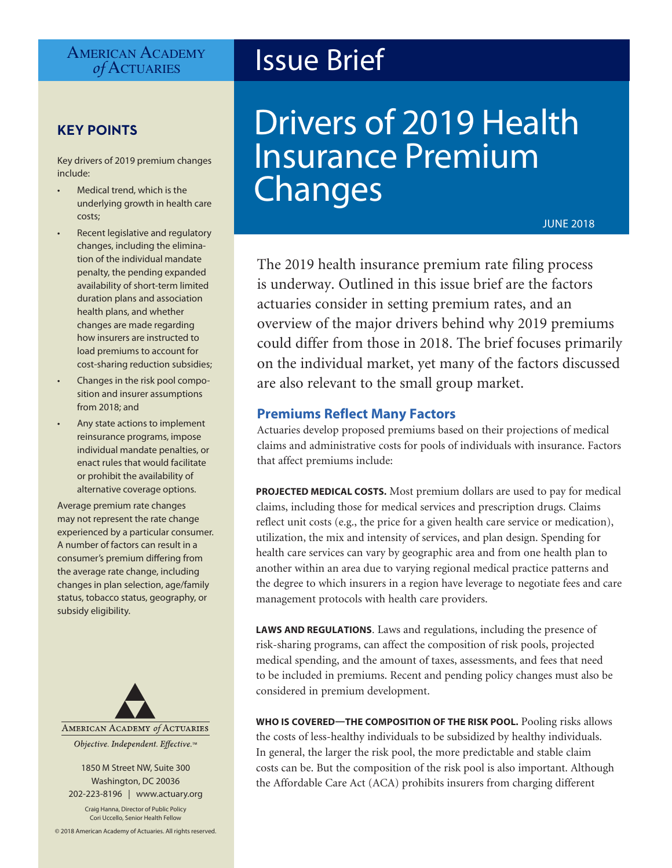# AMERICAN ACADEMY<br> *of* ACTUARIES

# **KEY POINTS**

Key drivers of 2019 premium changes include:

- Medical trend, which is the underlying growth in health care costs;
- Recent legislative and regulatory changes, including the elimination of the individual mandate penalty, the pending expanded availability of short-term limited duration plans and association health plans, and whether changes are made regarding how insurers are instructed to load premiums to account for cost-sharing reduction subsidies;
- Changes in the risk pool composition and insurer assumptions from 2018; and
- Any state actions to implement reinsurance programs, impose individual mandate penalties, or enact rules that would facilitate or prohibit the availability of alternative coverage options.

Average premium rate changes may not represent the rate change experienced by a particular consumer. A number of factors can result in a consumer's premium differing from the average rate change, including changes in plan selection, age/family status, tobacco status, geography, or subsidy eligibility.



1850 M Street NW, Suite 300 Washington, DC 20036 202-223-8196 | [www.actuary.org](http://www.actuary.org)

Craig Hanna, Director of Public Policy Cori Uccello, Senior Health Fellow

© 2018 American Academy of Actuaries. All rights reserved.

# **Issue Brief**

# Drivers of 2019 Health Insurance Premium Changes

JUNE 2018

The 2019 health insurance premium rate filing process is underway. Outlined in this issue brief are the factors actuaries consider in setting premium rates, and an overview of the major drivers behind why 2019 premiums could differ from those in 2018. The brief focuses primarily on the individual market, yet many of the factors discussed are also relevant to the small group market.

## **Premiums Reflect Many Factors**

Actuaries develop proposed premiums based on their projections of medical claims and administrative costs for pools of individuals with insurance. Factors that affect premiums include:

**PROJECTED MEDICAL COSTS.** Most premium dollars are used to pay for medical claims, including those for medical services and prescription drugs. Claims reflect unit costs (e.g., the price for a given health care service or medication), utilization, the mix and intensity of services, and plan design. Spending for health care services can vary by geographic area and from one health plan to another within an area due to varying regional medical practice patterns and the degree to which insurers in a region have leverage to negotiate fees and care management protocols with health care providers.

**LAWS AND REGULATIONS***.* Laws and regulations, including the presence of risk-sharing programs, can affect the composition of risk pools, projected medical spending, and the amount of taxes, assessments, and fees that need to be included in premiums. Recent and pending policy changes must also be considered in premium development.

**WHO IS COVERED—THE COMPOSITION OF THE RISK POOL.** Pooling risks allows the costs of less-healthy individuals to be subsidized by healthy individuals. In general, the larger the risk pool, the more predictable and stable claim costs can be. But the composition of the risk pool is also important. Although the Affordable Care Act (ACA) prohibits insurers from charging different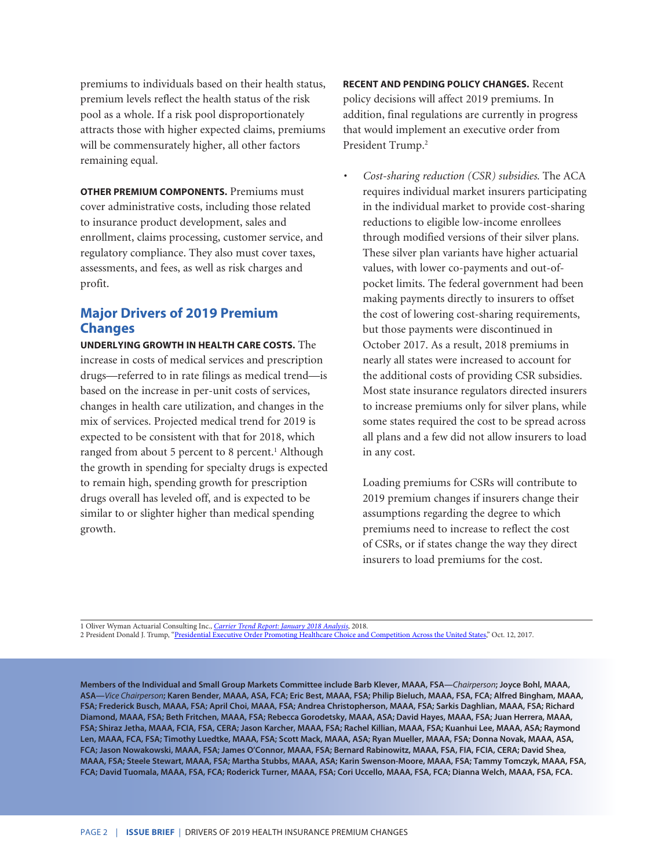premiums to individuals based on their health status, premium levels reflect the health status of the risk pool as a whole. If a risk pool disproportionately attracts those with higher expected claims, premiums will be commensurately higher, all other factors remaining equal.

**OTHER PREMIUM COMPONENTS.** Premiums must cover administrative costs, including those related to insurance product development, sales and enrollment, claims processing, customer service, and regulatory compliance. They also must cover taxes, assessments, and fees, as well as risk charges and profit.

# **Major Drivers of 2019 Premium Changes**

**UNDERLYING GROWTH IN HEALTH CARE COSTS.** The increase in costs of medical services and prescription drugs—referred to in rate filings as medical trend—is based on the increase in per-unit costs of services, changes in health care utilization, and changes in the mix of services. Projected medical trend for 2019 is expected to be consistent with that for 2018, which ranged from about 5 percent to 8 percent.<sup>1</sup> Although the growth in spending for specialty drugs is expected to remain high, spending growth for prescription drugs overall has leveled off, and is expected to be similar to or slighter higher than medical spending growth.

**RECENT AND PENDING POLICY CHANGES.** Recent policy decisions will affect 2019 premiums. In addition, final regulations are currently in progress that would implement an executive order from President Trump.<sup>2</sup>

*• Cost-sharing reduction (CSR) subsidies.* The ACA requires individual market insurers participating in the individual market to provide cost-sharing reductions to eligible low-income enrollees through modified versions of their silver plans. These silver plan variants have higher actuarial values, with lower co-payments and out-ofpocket limits. The federal government had been making payments directly to insurers to offset the cost of lowering cost-sharing requirements, but those payments were discontinued in October 2017. As a result, 2018 premiums in nearly all states were increased to account for the additional costs of providing CSR subsidies. Most state insurance regulators directed insurers to increase premiums only for silver plans, while some states required the cost to be spread across all plans and a few did not allow insurers to load in any cost.

Loading premiums for CSRs will contribute to 2019 premium changes if insurers change their assumptions regarding the degree to which premiums need to increase to reflect the cost of CSRs, or if states change the way they direct insurers to load premiums for the cost.

1 Oliver Wyman Actuarial Consulting Inc., *[Carrier Trend Report: January 2018 Analysis](http://www.oliverwyman.com/our-expertise/insights/2018/feb/carrier-trend-report---january-2018.html)*, 2018.

2 President Donald J. Trump, ["Presidential Executive Order Promoting Healthcare Choice and Competition Across the United States](https://www.whitehouse.gov/presidential-actions/presidential-executive-order-promoting-healthcare-choice-competition-across-united-states/)," Oct. 12, 2017.

**Members of the Individual and Small Group Markets Committee include Barb Klever, MAAA, FSA—***Chairperson***; Joyce Bohl, MAAA, ASA—***Vice Chairperson***; Karen Bender, MAAA, ASA, FCA; Eric Best, MAAA, FSA; Philip Bieluch, MAAA, FSA, FCA; Alfred Bingham, MAAA, FSA; Frederick Busch, MAAA, FSA; April Choi, MAAA, FSA; Andrea Christopherson, MAAA, FSA; Sarkis Daghlian, MAAA, FSA; Richard Diamond, MAAA, FSA; Beth Fritchen, MAAA, FSA; Rebecca Gorodetsky, MAAA, ASA; David Hayes, MAAA, FSA; Juan Herrera, MAAA, FSA; Shiraz Jetha, MAAA, FCIA, FSA, CERA; Jason Karcher, MAAA, FSA; Rachel Killian, MAAA, FSA; Kuanhui Lee, MAAA, ASA; Raymond Len, MAAA, FCA, FSA; Timothy Luedtke, MAAA, FSA; Scott Mack, MAAA, ASA; Ryan Mueller, MAAA, FSA; Donna Novak, MAAA, ASA, FCA; Jason Nowakowski, MAAA, FSA; James O'Connor, MAAA, FSA; Bernard Rabinowitz, MAAA, FSA, FIA, FCIA, CERA; David Shea, MAAA, FSA; Steele Stewart, MAAA, FSA; Martha Stubbs, MAAA, ASA; Karin Swenson-Moore, MAAA, FSA; Tammy Tomczyk, MAAA, FSA, FCA; David Tuomala, MAAA, FSA, FCA; Roderick Turner, MAAA, FSA; Cori Uccello, MAAA, FSA, FCA; Dianna Welch, MAAA, FSA, FCA.**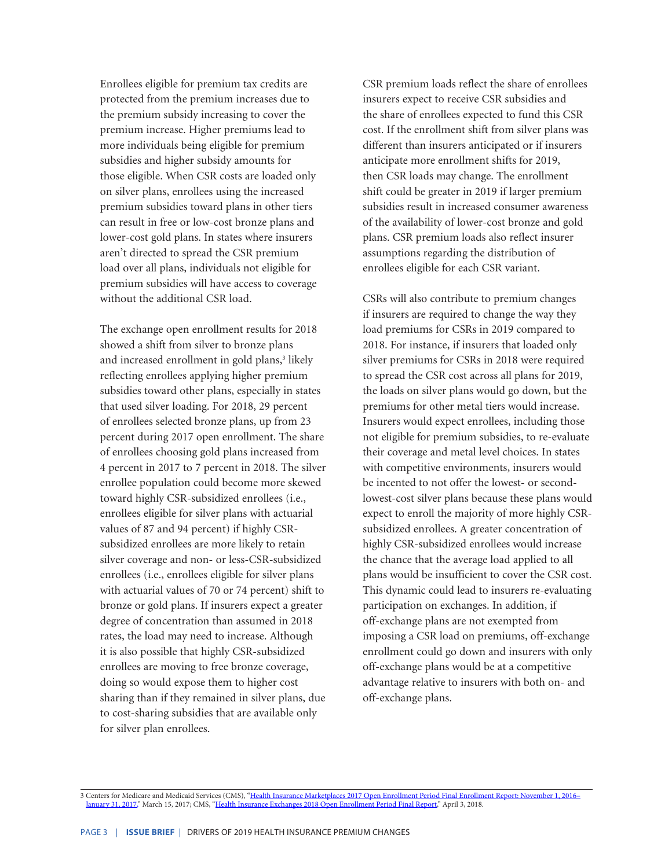Enrollees eligible for premium tax credits are protected from the premium increases due to the premium subsidy increasing to cover the premium increase. Higher premiums lead to more individuals being eligible for premium subsidies and higher subsidy amounts for those eligible. When CSR costs are loaded only on silver plans, enrollees using the increased premium subsidies toward plans in other tiers can result in free or low-cost bronze plans and lower-cost gold plans. In states where insurers aren't directed to spread the CSR premium load over all plans, individuals not eligible for premium subsidies will have access to coverage without the additional CSR load.

The exchange open enrollment results for 2018 showed a shift from silver to bronze plans and increased enrollment in gold plans,<sup>3</sup> likely reflecting enrollees applying higher premium subsidies toward other plans, especially in states that used silver loading. For 2018, 29 percent of enrollees selected bronze plans, up from 23 percent during 2017 open enrollment. The share of enrollees choosing gold plans increased from 4 percent in 2017 to 7 percent in 2018. The silver enrollee population could become more skewed toward highly CSR-subsidized enrollees (i.e., enrollees eligible for silver plans with actuarial values of 87 and 94 percent) if highly CSRsubsidized enrollees are more likely to retain silver coverage and non- or less-CSR-subsidized enrollees (i.e., enrollees eligible for silver plans with actuarial values of 70 or 74 percent) shift to bronze or gold plans. If insurers expect a greater degree of concentration than assumed in 2018 rates, the load may need to increase. Although it is also possible that highly CSR-subsidized enrollees are moving to free bronze coverage, doing so would expose them to higher cost sharing than if they remained in silver plans, due to cost-sharing subsidies that are available only for silver plan enrollees.

CSR premium loads reflect the share of enrollees insurers expect to receive CSR subsidies and the share of enrollees expected to fund this CSR cost. If the enrollment shift from silver plans was different than insurers anticipated or if insurers anticipate more enrollment shifts for 2019, then CSR loads may change. The enrollment shift could be greater in 2019 if larger premium subsidies result in increased consumer awareness of the availability of lower-cost bronze and gold plans. CSR premium loads also reflect insurer assumptions regarding the distribution of enrollees eligible for each CSR variant.

CSRs will also contribute to premium changes if insurers are required to change the way they load premiums for CSRs in 2019 compared to 2018. For instance, if insurers that loaded only silver premiums for CSRs in 2018 were required to spread the CSR cost across all plans for 2019, the loads on silver plans would go down, but the premiums for other metal tiers would increase. Insurers would expect enrollees, including those not eligible for premium subsidies, to re-evaluate their coverage and metal level choices. In states with competitive environments, insurers would be incented to not offer the lowest- or secondlowest-cost silver plans because these plans would expect to enroll the majority of more highly CSRsubsidized enrollees. A greater concentration of highly CSR-subsidized enrollees would increase the chance that the average load applied to all plans would be insufficient to cover the CSR cost. This dynamic could lead to insurers re-evaluating participation on exchanges. In addition, if off-exchange plans are not exempted from imposing a CSR load on premiums, off-exchange enrollment could go down and insurers with only off-exchange plans would be at a competitive advantage relative to insurers with both on- and off-exchange plans.

3 Centers for Medicare and Medicaid Services (CMS), "Health Insurance Marketplaces 2017 Open Enrollment Period Final Enrollment Report: November 1, 2016-[January 31, 2017,](https://www.cms.gov/Newsroom/MediaReleaseDatabase/Fact-sheets/2017-Fact-Sheet-items/2017-03-15.html)" March 15, 2017; CMS, ["Health Insurance Exchanges 2018 Open Enrollment Period Final Report](https://www.cms.gov/Newsroom/MediaReleaseDatabase/Fact-sheets/2018-Fact-sheets-items/2018-04-03.html)," April 3, 2018.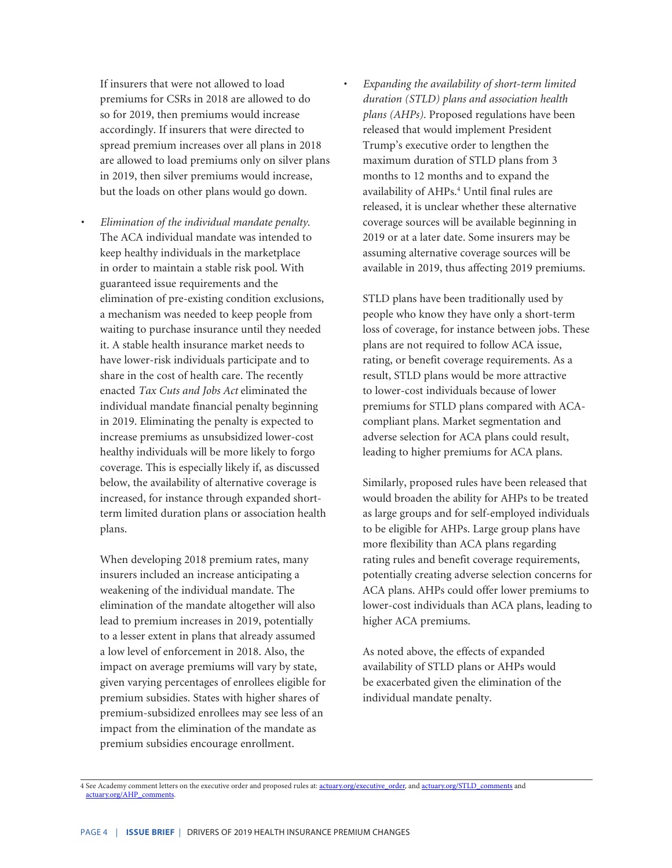If insurers that were not allowed to load premiums for CSRs in 2018 are allowed to do so for 2019, then premiums would increase accordingly. If insurers that were directed to spread premium increases over all plans in 2018 are allowed to load premiums only on silver plans in 2019, then silver premiums would increase, but the loads on other plans would go down.

*• Elimination of the individual mandate penalty.* The ACA individual mandate was intended to keep healthy individuals in the marketplace in order to maintain a stable risk pool. With guaranteed issue requirements and the elimination of pre-existing condition exclusions, a mechanism was needed to keep people from waiting to purchase insurance until they needed it. A stable health insurance market needs to have lower-risk individuals participate and to share in the cost of health care. The recently enacted *Tax Cuts and Jobs Act* eliminated the individual mandate financial penalty beginning in 2019. Eliminating the penalty is expected to increase premiums as unsubsidized lower-cost healthy individuals will be more likely to forgo coverage. This is especially likely if, as discussed below, the availability of alternative coverage is increased, for instance through expanded shortterm limited duration plans or association health plans.

When developing 2018 premium rates, many insurers included an increase anticipating a weakening of the individual mandate. The elimination of the mandate altogether will also lead to premium increases in 2019, potentially to a lesser extent in plans that already assumed a low level of enforcement in 2018. Also, the impact on average premiums will vary by state, given varying percentages of enrollees eligible for premium subsidies. States with higher shares of premium-subsidized enrollees may see less of an impact from the elimination of the mandate as premium subsidies encourage enrollment.

*• Expanding the availability of short-term limited duration (STLD) plans and association health plans (AHPs).* Proposed regulations have been released that would implement President Trump's executive order to lengthen the maximum duration of STLD plans from 3 months to 12 months and to expand the availability of AHPs.<sup>4</sup> Until final rules are released, it is unclear whether these alternative coverage sources will be available beginning in 2019 or at a later date. Some insurers may be assuming alternative coverage sources will be available in 2019, thus affecting 2019 premiums.

STLD plans have been traditionally used by people who know they have only a short-term loss of coverage, for instance between jobs. These plans are not required to follow ACA issue, rating, or benefit coverage requirements. As a result, STLD plans would be more attractive to lower-cost individuals because of lower premiums for STLD plans compared with ACAcompliant plans. Market segmentation and adverse selection for ACA plans could result, leading to higher premiums for ACA plans.

Similarly, proposed rules have been released that would broaden the ability for AHPs to be treated as large groups and for self-employed individuals to be eligible for AHPs. Large group plans have more flexibility than ACA plans regarding rating rules and benefit coverage requirements, potentially creating adverse selection concerns for ACA plans. AHPs could offer lower premiums to lower-cost individuals than ACA plans, leading to higher ACA premiums.

As noted above, the effects of expanded availability of STLD plans or AHPs would be exacerbated given the elimination of the individual mandate penalty.

4 See Academy comment letters on the executive order and proposed rules at: [actuary.org/executive\\_order](http://actuary.org/executive_order), and [actuary.org/STLD\\_comments](http://actuary.org/STLD_comments) and [actuary.org/AHP\\_comments.](http://actuary.org/AHP_comments)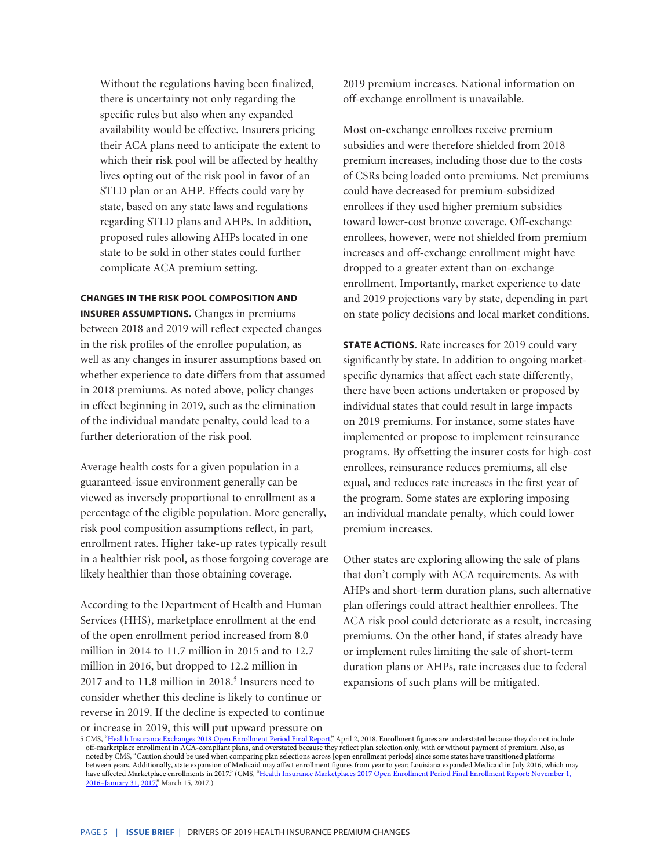Without the regulations having been finalized, there is uncertainty not only regarding the specific rules but also when any expanded availability would be effective. Insurers pricing their ACA plans need to anticipate the extent to which their risk pool will be affected by healthy lives opting out of the risk pool in favor of an STLD plan or an AHP. Effects could vary by state, based on any state laws and regulations regarding STLD plans and AHPs. In addition, proposed rules allowing AHPs located in one state to be sold in other states could further complicate ACA premium setting.

## **CHANGES IN THE RISK POOL COMPOSITION AND**

**INSURER ASSUMPTIONS.** Changes in premiums between 2018 and 2019 will reflect expected changes in the risk profiles of the enrollee population, as well as any changes in insurer assumptions based on whether experience to date differs from that assumed in 2018 premiums. As noted above, policy changes in effect beginning in 2019, such as the elimination of the individual mandate penalty, could lead to a further deterioration of the risk pool.

Average health costs for a given population in a guaranteed-issue environment generally can be viewed as inversely proportional to enrollment as a percentage of the eligible population. More generally, risk pool composition assumptions reflect, in part, enrollment rates. Higher take-up rates typically result in a healthier risk pool, as those forgoing coverage are likely healthier than those obtaining coverage.

According to the Department of Health and Human Services (HHS), marketplace enrollment at the end of the open enrollment period increased from 8.0 million in 2014 to 11.7 million in 2015 and to 12.7 million in 2016, but dropped to 12.2 million in 2017 and to 11.8 million in 2018.<sup>5</sup> Insurers need to consider whether this decline is likely to continue or reverse in 2019. If the decline is expected to continue

or increase in 2019, this will put upward pressure on

2019 premium increases. National information on off-exchange enrollment is unavailable.

Most on-exchange enrollees receive premium subsidies and were therefore shielded from 2018 premium increases, including those due to the costs of CSRs being loaded onto premiums. Net premiums could have decreased for premium-subsidized enrollees if they used higher premium subsidies toward lower-cost bronze coverage. Off-exchange enrollees, however, were not shielded from premium increases and off-exchange enrollment might have dropped to a greater extent than on-exchange enrollment. Importantly, market experience to date and 2019 projections vary by state, depending in part on state policy decisions and local market conditions.

**STATE ACTIONS.** Rate increases for 2019 could vary significantly by state. In addition to ongoing marketspecific dynamics that affect each state differently, there have been actions undertaken or proposed by individual states that could result in large impacts on 2019 premiums. For instance, some states have implemented or propose to implement reinsurance programs. By offsetting the insurer costs for high-cost enrollees, reinsurance reduces premiums, all else equal, and reduces rate increases in the first year of the program. Some states are exploring imposing an individual mandate penalty, which could lower premium increases.

Other states are exploring allowing the sale of plans that don't comply with ACA requirements. As with AHPs and short-term duration plans, such alternative plan offerings could attract healthier enrollees. The ACA risk pool could deteriorate as a result, increasing premiums. On the other hand, if states already have or implement rules limiting the sale of short-term duration plans or AHPs, rate increases due to federal expansions of such plans will be mitigated.

5 CMS, ["Health Insurance Exchanges 2018 Open Enrollment Period Final Report](https://www.cms.gov/Newsroom/MediaReleaseDatabase/Fact-sheets/2018-Fact-sheets-items/2018-04-03.html)," April 2, 2018. Enrollment figures are understated because they do not include off-marketplace enrollment in ACA-compliant plans, and overstated because they reflect plan selection only, with or without payment of premium. Also, as noted by CMS, "Caution should be used when comparing plan selections across [open enrollment periods] since some states have transitioned platforms between years. Additionally, state expansion of Medicaid may affect enrollment figures from year to year; Louisiana expanded Medicaid in July 2016, which may have affected Marketplace enrollments in 2017." (CM**S,** "Health Insurance Marketplaces 2017 Open Enrollment Period Final Enrollment Report: November 1, 2016–January 31, [2017,](https://www.cms.gov/Newsroom/MediaReleaseDatabase/Fact-sheets/2017-Fact-Sheet-items/2017-03-15.html)" March 15, 2017.)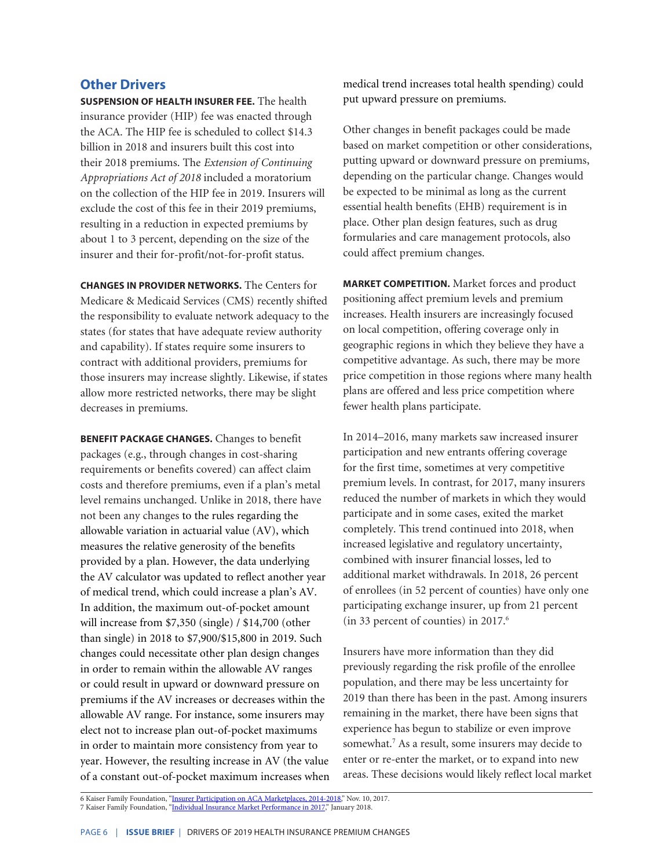## **Other Drivers**

**SUSPENSION OF HEALTH INSURER FEE.** The health insurance provider (HIP) fee was enacted through the ACA. The HIP fee is scheduled to collect \$14.3 billion in 2018 and insurers built this cost into their 2018 premiums. The *Extension of Continuing Appropriations Act of 2018* included a moratorium on the collection of the HIP fee in 2019. Insurers will exclude the cost of this fee in their 2019 premiums, resulting in a reduction in expected premiums by about 1 to 3 percent, depending on the size of the insurer and their for-profit/not-for-profit status.

**CHANGES IN PROVIDER NETWORKS.** The Centers for Medicare & Medicaid Services (CMS) recently shifted the responsibility to evaluate network adequacy to the states (for states that have adequate review authority and capability). If states require some insurers to contract with additional providers, premiums for those insurers may increase slightly. Likewise, if states allow more restricted networks, there may be slight decreases in premiums.

**BENEFIT PACKAGE CHANGES.** Changes to benefit packages (e.g., through changes in cost-sharing requirements or benefits covered) can affect claim costs and therefore premiums, even if a plan's metal level remains unchanged. Unlike in 2018, there have not been any changes to the rules regarding the allowable variation in actuarial value (AV), which measures the relative generosity of the benefits provided by a plan. However, the data underlying the AV calculator was updated to reflect another year of medical trend, which could increase a plan's AV. In addition, the maximum out-of-pocket amount will increase from \$7,350 (single) / \$14,700 (other than single) in 2018 to \$7,900/\$15,800 in 2019. Such changes could necessitate other plan design changes in order to remain within the allowable AV ranges or could result in upward or downward pressure on premiums if the AV increases or decreases within the allowable AV range. For instance, some insurers may elect not to increase plan out-of-pocket maximums in order to maintain more consistency from year to year. However, the resulting increase in AV (the value of a constant out-of-pocket maximum increases when medical trend increases total health spending) could put upward pressure on premiums.

Other changes in benefit packages could be made based on market competition or other considerations, putting upward or downward pressure on premiums, depending on the particular change. Changes would be expected to be minimal as long as the current essential health benefits (EHB) requirement is in place. Other plan design features, such as drug formularies and care management protocols, also could affect premium changes.

**MARKET COMPETITION.** Market forces and product positioning affect premium levels and premium increases. Health insurers are increasingly focused on local competition, offering coverage only in geographic regions in which they believe they have a competitive advantage. As such, there may be more price competition in those regions where many health plans are offered and less price competition where fewer health plans participate.

In 2014–2016, many markets saw increased insurer participation and new entrants offering coverage for the first time, sometimes at very competitive premium levels. In contrast, for 2017, many insurers reduced the number of markets in which they would participate and in some cases, exited the market completely. This trend continued into 2018, when increased legislative and regulatory uncertainty, combined with insurer financial losses, led to additional market withdrawals. In 2018, 26 percent of enrollees (in 52 percent of counties) have only one participating exchange insurer, up from 21 percent (in 33 percent of counties) in 2017.6

Insurers have more information than they did previously regarding the risk profile of the enrollee population, and there may be less uncertainty for 2019 than there has been in the past. Among insurers remaining in the market, there have been signs that experience has begun to stabilize or even improve somewhat.<sup>7</sup> As a result, some insurers may decide to enter or re-enter the market, or to expand into new areas. These decisions would likely reflect local market

6 Kaiser Family Foundation, "<u>Insurer Participation on ACA Marketplaces, 2014-2018</u>," Nov. 10, 2017. 7 Kaiser Family Foundation, "<u>[Individual Insurance Market Performance in 2017](http://files.kff.org/attachment/Issue-Brief-Individual-Insurance-Market-Performance-in-2017)</u>," January 2018.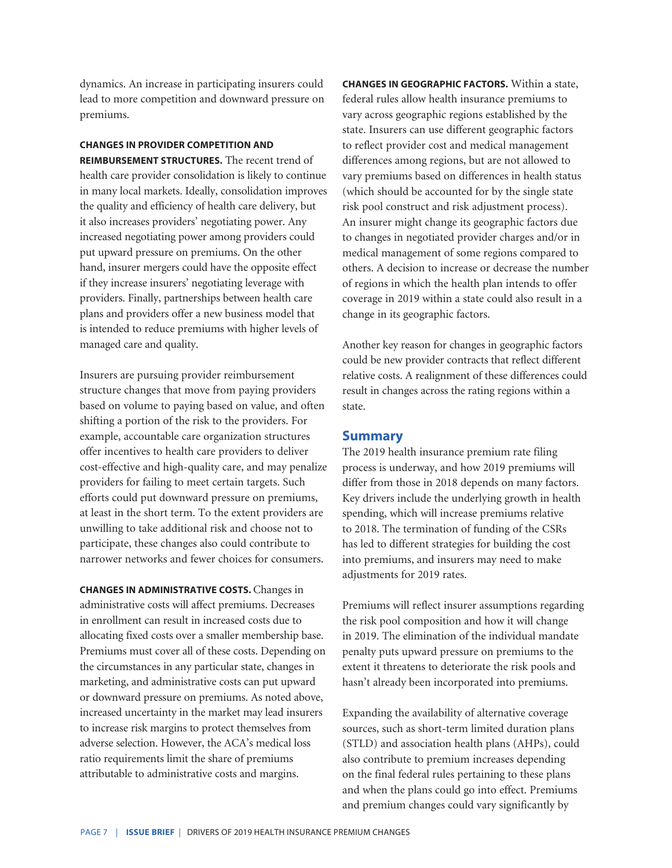dynamics. An increase in participating insurers could lead to more competition and downward pressure on premiums.

# **CHANGES IN PROVIDER COMPETITION AND**

**REIMBURSEMENT STRUCTURES.** The recent trend of health care provider consolidation is likely to continue in many local markets. Ideally, consolidation improves the quality and efficiency of health care delivery, but it also increases providers' negotiating power. Any increased negotiating power among providers could put upward pressure on premiums. On the other hand, insurer mergers could have the opposite effect if they increase insurers' negotiating leverage with providers. Finally, partnerships between health care plans and providers offer a new business model that is intended to reduce premiums with higher levels of managed care and quality.

Insurers are pursuing provider reimbursement structure changes that move from paying providers based on volume to paying based on value, and often shifting a portion of the risk to the providers. For example, accountable care organization structures offer incentives to health care providers to deliver cost-effective and high-quality care, and may penalize providers for failing to meet certain targets. Such efforts could put downward pressure on premiums, at least in the short term. To the extent providers are unwilling to take additional risk and choose not to participate, these changes also could contribute to narrower networks and fewer choices for consumers.

**CHANGES IN ADMINISTRATIVE COSTS.** Changes in administrative costs will affect premiums. Decreases in enrollment can result in increased costs due to allocating fixed costs over a smaller membership base. Premiums must cover all of these costs. Depending on the circumstances in any particular state, changes in marketing, and administrative costs can put upward or downward pressure on premiums. As noted above, increased uncertainty in the market may lead insurers to increase risk margins to protect themselves from adverse selection. However, the ACA's medical loss ratio requirements limit the share of premiums attributable to administrative costs and margins.

**CHANGES IN GEOGRAPHIC FACTORS.** Within a state, federal rules allow health insurance premiums to vary across geographic regions established by the state. Insurers can use different geographic factors to reflect provider cost and medical management differences among regions, but are not allowed to vary premiums based on differences in health status (which should be accounted for by the single state risk pool construct and risk adjustment process). An insurer might change its geographic factors due to changes in negotiated provider charges and/or in medical management of some regions compared to others. A decision to increase or decrease the number of regions in which the health plan intends to offer coverage in 2019 within a state could also result in a change in its geographic factors.

Another key reason for changes in geographic factors could be new provider contracts that reflect different relative costs. A realignment of these differences could result in changes across the rating regions within a state.

## **Summary**

The 2019 health insurance premium rate filing process is underway, and how 2019 premiums will differ from those in 2018 depends on many factors. Key drivers include the underlying growth in health spending, which will increase premiums relative to 2018. The termination of funding of the CSRs has led to different strategies for building the cost into premiums, and insurers may need to make adjustments for 2019 rates.

Premiums will reflect insurer assumptions regarding the risk pool composition and how it will change in 2019. The elimination of the individual mandate penalty puts upward pressure on premiums to the extent it threatens to deteriorate the risk pools and hasn't already been incorporated into premiums.

Expanding the availability of alternative coverage sources, such as short-term limited duration plans (STLD) and association health plans (AHPs), could also contribute to premium increases depending on the final federal rules pertaining to these plans and when the plans could go into effect. Premiums and premium changes could vary significantly by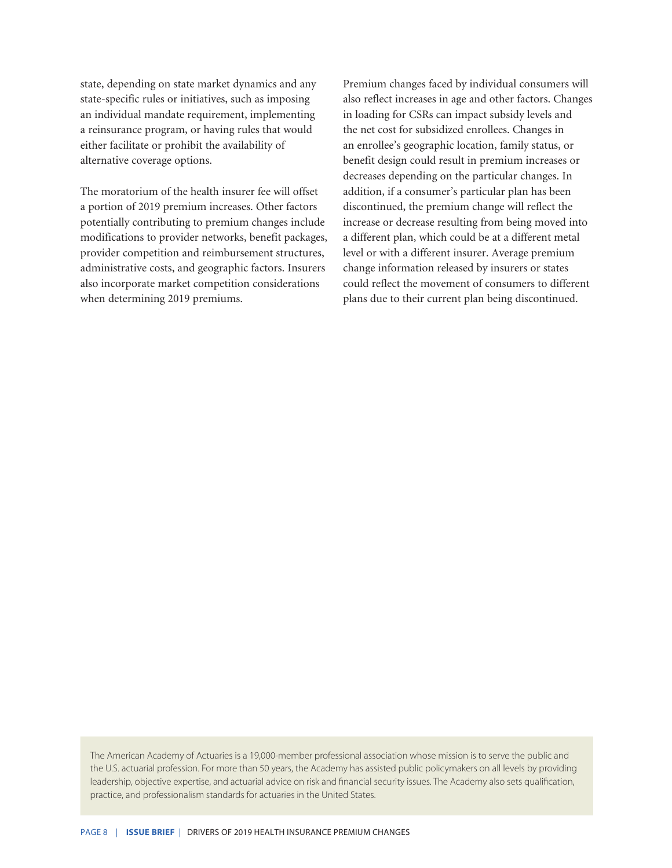state, depending on state market dynamics and any state-specific rules or initiatives, such as imposing an individual mandate requirement, implementing a reinsurance program, or having rules that would either facilitate or prohibit the availability of alternative coverage options.

The moratorium of the health insurer fee will offset a portion of 2019 premium increases. Other factors potentially contributing to premium changes include modifications to provider networks, benefit packages, provider competition and reimbursement structures, administrative costs, and geographic factors. Insurers also incorporate market competition considerations when determining 2019 premiums.

Premium changes faced by individual consumers will also reflect increases in age and other factors. Changes in loading for CSRs can impact subsidy levels and the net cost for subsidized enrollees. Changes in an enrollee's geographic location, family status, or benefit design could result in premium increases or decreases depending on the particular changes. In addition, if a consumer's particular plan has been discontinued, the premium change will reflect the increase or decrease resulting from being moved into a different plan, which could be at a different metal level or with a different insurer. Average premium change information released by insurers or states could reflect the movement of consumers to different plans due to their current plan being discontinued.

The American Academy of Actuaries is a 19,000-member professional association whose mission is to serve the public and the U.S. actuarial profession. For more than 50 years, the Academy has assisted public policymakers on all levels by providing leadership, objective expertise, and actuarial advice on risk and financial security issues. The Academy also sets qualification, practice, and professionalism standards for actuaries in the United States.